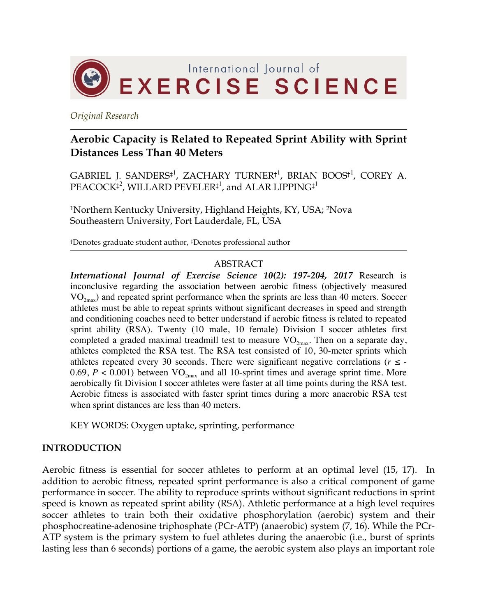

*Original Research*

# **Aerobic Capacity is Related to Repeated Sprint Ability with Sprint Distances Less Than 40 Meters**

 $GABRIEL$  J.  $SANDERS^{+1}$ ,  $ZACHARY TURNER<sup>1</sup>$ ,  $BRIAN BOOS<sup>1</sup>$ ,  $COREY$  A.  $\mathrm{PEACOCK}^{\ddag}$ , WILLARD  $\mathrm{PEVELER}^{\ddag}$  , and ALAR LIPPING $^{\ddag}$ 

1Northern Kentucky University, Highland Heights, KY, USA; 2Nova Southeastern University, Fort Lauderdale, FL, USA

†Denotes graduate student author, ‡Denotes professional author

#### ABSTRACT

*International Journal of Exercise Science 10(2): 197-204, 2017* Research is inconclusive regarding the association between aerobic fitness (objectively measured  $VO_{2<sub>max</sub>}$ ) and repeated sprint performance when the sprints are less than 40 meters. Soccer athletes must be able to repeat sprints without significant decreases in speed and strength and conditioning coaches need to better understand if aerobic fitness is related to repeated sprint ability (RSA). Twenty (10 male, 10 female) Division I soccer athletes first completed a graded maximal treadmill test to measure  $VO_{2max}$ . Then on a separate day, athletes completed the RSA test. The RSA test consisted of 10, 30-meter sprints which athletes repeated every 30 seconds. There were significant negative correlations ( $r \leq -1$ 0.69,  $P < 0.001$ ) between VO<sub>2max</sub> and all 10-sprint times and average sprint time. More aerobically fit Division I soccer athletes were faster at all time points during the RSA test. Aerobic fitness is associated with faster sprint times during a more anaerobic RSA test when sprint distances are less than 40 meters.

KEY WORDS: Oxygen uptake, sprinting, performance

### **INTRODUCTION**

Aerobic fitness is essential for soccer athletes to perform at an optimal level (15, 17). In addition to aerobic fitness, repeated sprint performance is also a critical component of game performance in soccer. The ability to reproduce sprints without significant reductions in sprint speed is known as repeated sprint ability (RSA). Athletic performance at a high level requires soccer athletes to train both their oxidative phosphorylation (aerobic) system and their phosphocreatine-adenosine triphosphate (PCr-ATP) (anaerobic) system (7, 16). While the PCr-ATP system is the primary system to fuel athletes during the anaerobic (i.e., burst of sprints lasting less than 6 seconds) portions of a game, the aerobic system also plays an important role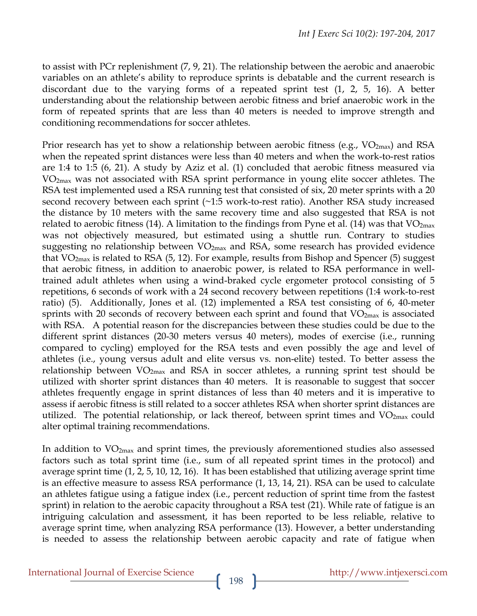to assist with PCr replenishment (7, 9, 21). The relationship between the aerobic and anaerobic variables on an athlete's ability to reproduce sprints is debatable and the current research is discordant due to the varying forms of a repeated sprint test (1, 2, 5, 16). A better understanding about the relationship between aerobic fitness and brief anaerobic work in the form of repeated sprints that are less than 40 meters is needed to improve strength and conditioning recommendations for soccer athletes.

Prior research has yet to show a relationship between aerobic fitness (e.g.,  $VO_{2max}$ ) and RSA when the repeated sprint distances were less than 40 meters and when the work-to-rest ratios are 1:4 to 1:5 (6, 21). A study by Aziz et al. (1) concluded that aerobic fitness measured via VO2max was not associated with RSA sprint performance in young elite soccer athletes. The RSA test implemented used a RSA running test that consisted of six, 20 meter sprints with a 20 second recovery between each sprint (~1:5 work-to-rest ratio). Another RSA study increased the distance by 10 meters with the same recovery time and also suggested that RSA is not related to aerobic fitness (14). A limitation to the findings from Pyne et al. (14) was that  $VO<sub>2max</sub>$ was not objectively measured, but estimated using a shuttle run. Contrary to studies suggesting no relationship between  $VO_{2max}$  and RSA, some research has provided evidence that  $VO_{2max}$  is related to RSA (5, 12). For example, results from Bishop and Spencer (5) suggest that aerobic fitness, in addition to anaerobic power, is related to RSA performance in welltrained adult athletes when using a wind-braked cycle ergometer protocol consisting of 5 repetitions, 6 seconds of work with a 24 second recovery between repetitions (1:4 work-to-rest ratio) (5). Additionally, Jones et al. (12) implemented a RSA test consisting of 6, 40-meter sprints with 20 seconds of recovery between each sprint and found that  $VO<sub>2max</sub>$  is associated with RSA. A potential reason for the discrepancies between these studies could be due to the different sprint distances (20-30 meters versus 40 meters), modes of exercise (i.e., running compared to cycling) employed for the RSA tests and even possibly the age and level of athletes (i.e., young versus adult and elite versus vs. non-elite) tested. To better assess the relationship between  $VO_{2max}$  and RSA in soccer athletes, a running sprint test should be utilized with shorter sprint distances than 40 meters. It is reasonable to suggest that soccer athletes frequently engage in sprint distances of less than 40 meters and it is imperative to assess if aerobic fitness is still related to a soccer athletes RSA when shorter sprint distances are utilized. The potential relationship, or lack thereof, between sprint times and  $VO<sub>2max</sub>$  could alter optimal training recommendations.

In addition to  $VO_{2max}$  and sprint times, the previously aforementioned studies also assessed factors such as total sprint time (i.e., sum of all repeated sprint times in the protocol) and average sprint time (1, 2, 5, 10, 12, 16). It has been established that utilizing average sprint time is an effective measure to assess RSA performance (1, 13, 14, 21). RSA can be used to calculate an athletes fatigue using a fatigue index (i.e., percent reduction of sprint time from the fastest sprint) in relation to the aerobic capacity throughout a RSA test (21). While rate of fatigue is an intriguing calculation and assessment, it has been reported to be less reliable, relative to average sprint time, when analyzing RSA performance (13). However, a better understanding is needed to assess the relationship between aerobic capacity and rate of fatigue when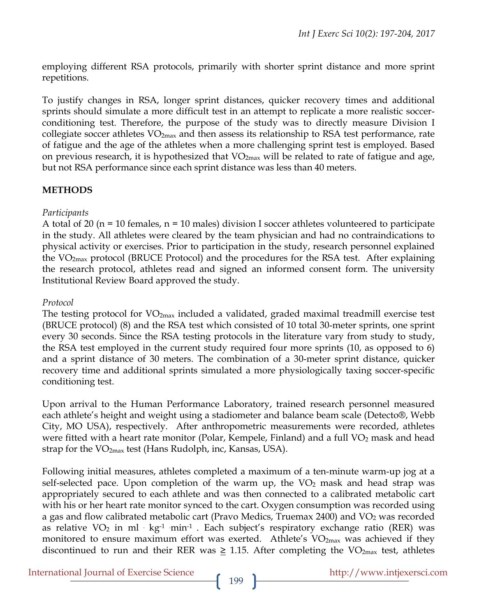employing different RSA protocols, primarily with shorter sprint distance and more sprint repetitions.

To justify changes in RSA, longer sprint distances, quicker recovery times and additional sprints should simulate a more difficult test in an attempt to replicate a more realistic soccerconditioning test. Therefore, the purpose of the study was to directly measure Division I collegiate soccer athletes  $VO_{2max}$  and then assess its relationship to RSA test performance, rate of fatigue and the age of the athletes when a more challenging sprint test is employed. Based on previous research, it is hypothesized that  $VO_{2max}$  will be related to rate of fatigue and age, but not RSA performance since each sprint distance was less than 40 meters.

# **METHODS**

# *Participants*

A total of 20 (n = 10 females, n = 10 males) division I soccer athletes volunteered to participate in the study. All athletes were cleared by the team physician and had no contraindications to physical activity or exercises. Prior to participation in the study, research personnel explained the  $VO<sub>2max</sub>$  protocol (BRUCE Protocol) and the procedures for the RSA test. After explaining the research protocol, athletes read and signed an informed consent form. The university Institutional Review Board approved the study.

# *Protocol*

The testing protocol for VO<sub>2max</sub> included a validated, graded maximal treadmill exercise test (BRUCE protocol) (8) and the RSA test which consisted of 10 total 30-meter sprints, one sprint every 30 seconds. Since the RSA testing protocols in the literature vary from study to study, the RSA test employed in the current study required four more sprints (10, as opposed to 6) and a sprint distance of 30 meters. The combination of a 30-meter sprint distance, quicker recovery time and additional sprints simulated a more physiologically taxing soccer-specific conditioning test.

Upon arrival to the Human Performance Laboratory, trained research personnel measured each athlete's height and weight using a stadiometer and balance beam scale (Detecto®, Webb City, MO USA), respectively. After anthropometric measurements were recorded, athletes were fitted with a heart rate monitor (Polar, Kempele, Finland) and a full  $VO<sub>2</sub>$  mask and head strap for the  $VO<sub>2max</sub>$  test (Hans Rudolph, inc, Kansas, USA).

Following initial measures, athletes completed a maximum of a ten-minute warm-up jog at a self-selected pace. Upon completion of the warm up, the  $VO<sub>2</sub>$  mask and head strap was appropriately secured to each athlete and was then connected to a calibrated metabolic cart with his or her heart rate monitor synced to the cart. Oxygen consumption was recorded using a gas and flow calibrated metabolic cart (Pravo Medics, Truemax 2400) and  $VO<sub>2</sub>$  was recorded as relative VO<sub>2</sub> in ml  $kg<sup>-1</sup>$  min<sup>-1</sup>. Each subject's respiratory exchange ratio (RER) was monitored to ensure maximum effort was exerted. Athlete's VO<sub>2max</sub> was achieved if they discontinued to run and their RER was  $\geq$  1.15. After completing the VO<sub>2max</sub> test, athletes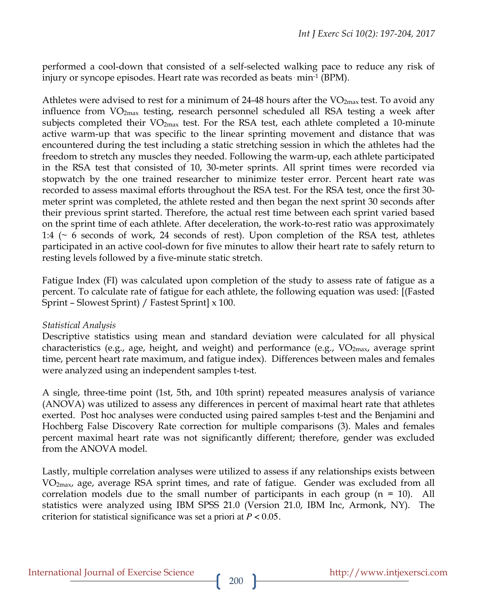performed a cool-down that consisted of a self-selected walking pace to reduce any risk of injury or syncope episodes. Heart rate was recorded as beats min<sup>-1</sup> (BPM).

Athletes were advised to rest for a minimum of 24-48 hours after the  $VO<sub>2max</sub>$  test. To avoid any influence from VO2max testing, research personnel scheduled all RSA testing a week after subjects completed their  $VO<sub>2max</sub>$  test. For the RSA test, each athlete completed a 10-minute active warm-up that was specific to the linear sprinting movement and distance that was encountered during the test including a static stretching session in which the athletes had the freedom to stretch any muscles they needed. Following the warm-up, each athlete participated in the RSA test that consisted of 10, 30-meter sprints. All sprint times were recorded via stopwatch by the one trained researcher to minimize tester error. Percent heart rate was recorded to assess maximal efforts throughout the RSA test. For the RSA test, once the first 30 meter sprint was completed, the athlete rested and then began the next sprint 30 seconds after their previous sprint started. Therefore, the actual rest time between each sprint varied based on the sprint time of each athlete. After deceleration, the work-to-rest ratio was approximately 1:4 ( $\sim$  6 seconds of work, 24 seconds of rest). Upon completion of the RSA test, athletes participated in an active cool-down for five minutes to allow their heart rate to safely return to resting levels followed by a five-minute static stretch.

Fatigue Index (FI) was calculated upon completion of the study to assess rate of fatigue as a percent. To calculate rate of fatigue for each athlete, the following equation was used: [(Fasted Sprint – Slowest Sprint) / Fastest Sprint] x 100.

### *Statistical Analysis*

Descriptive statistics using mean and standard deviation were calculated for all physical characteristics (e.g., age, height, and weight) and performance (e.g.,  $VO<sub>2max</sub>$ , average sprint time, percent heart rate maximum, and fatigue index). Differences between males and females were analyzed using an independent samples t-test.

A single, three-time point (1st, 5th, and 10th sprint) repeated measures analysis of variance (ANOVA) was utilized to assess any differences in percent of maximal heart rate that athletes exerted. Post hoc analyses were conducted using paired samples t-test and the Benjamini and Hochberg False Discovery Rate correction for multiple comparisons (3). Males and females percent maximal heart rate was not significantly different; therefore, gender was excluded from the ANOVA model.

Lastly, multiple correlation analyses were utilized to assess if any relationships exists between VO2max, age, average RSA sprint times, and rate of fatigue. Gender was excluded from all correlation models due to the small number of participants in each group  $(n = 10)$ . All statistics were analyzed using IBM SPSS 21.0 (Version 21.0, IBM Inc, Armonk, NY). The criterion for statistical significance was set a priori at *P* < 0.05.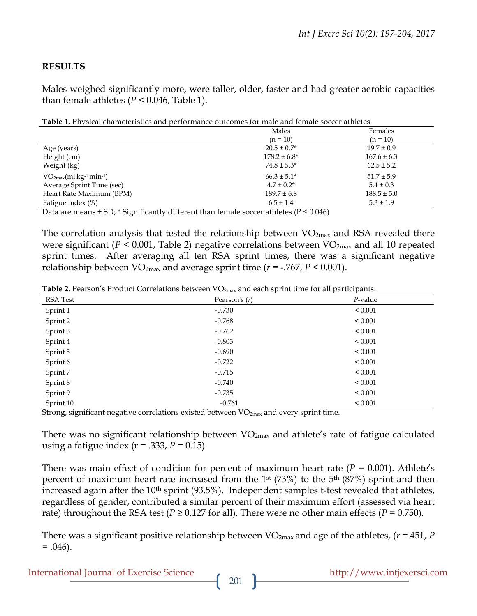# **RESULTS**

Males weighed significantly more, were taller, older, faster and had greater aerobic capacities than female athletes  $(P < 0.046$ , Table 1).

**Table 1.** Physical characteristics and performance outcomes for male and female soccer athletes

| $(n = 10)$<br>$(n = 10)$                                       |  |
|----------------------------------------------------------------|--|
| $20.5 \pm 0.7^*$<br>$19.7 \pm 0.9$<br>Age (years)              |  |
| $178.2 \pm 6.8^*$<br>Height (cm)<br>$167.6 \pm 6.3$            |  |
| $74.8 \pm 5.3^*$<br>$62.5 \pm 5.2$<br>Weight (kg)              |  |
| $VO2max(ml·kg-1·min-1)$<br>$66.3 \pm 5.1^*$<br>$51.7 \pm 5.9$  |  |
| Average Sprint Time (sec)<br>$4.7 \pm 0.2^*$<br>$5.4 \pm 0.3$  |  |
| Heart Rate Maximum (BPM)<br>$189.7 \pm 6.8$<br>$188.5 \pm 5.0$ |  |
| Fatigue Index (%)<br>$6.5 \pm 1.4$<br>$5.3 \pm 1.9$            |  |

Data are means  $\pm$  SD; \* Significantly different than female soccer athletes ( $P \le 0.046$ )

The correlation analysis that tested the relationship between VO<sub>2max</sub> and RSA revealed there were significant ( $P < 0.001$ , Table 2) negative correlations between VO<sub>2max</sub> and all 10 repeated sprint times. After averaging all ten RSA sprint times, there was a significant negative relationship between  $VO_{2max}$  and average sprint time ( $r = -0.767$ ,  $P < 0.001$ ).

Table 2. Pearson's Product Correlations between VO<sub>2max</sub> and each sprint time for all participants.

| RSA Test  | Pearson's $(r)$ | $P$ -value   |
|-----------|-----------------|--------------|
| Sprint 1  | $-0.730$        | ${}_{0.001}$ |
| Sprint 2  | $-0.768$        | ${}_{0.001}$ |
| Sprint 3  | $-0.762$        | ${}_{0.001}$ |
| Sprint 4  | $-0.803$        | ${}_{0.001}$ |
| Sprint 5  | $-0.690$        | ${}_{0.001}$ |
| Sprint 6  | $-0.722$        | ${}_{0.001}$ |
| Sprint 7  | $-0.715$        | ${}_{0.001}$ |
| Sprint 8  | $-0.740$        | ${}_{0.001}$ |
| Sprint 9  | $-0.735$        | ${}_{0.001}$ |
| Sprint 10 | $-0.761$        | ${}_{0.001}$ |

Strong, significant negative correlations existed between  $VO<sub>2max</sub>$  and every sprint time.

There was no significant relationship between  $VO_{2max}$  and athlete's rate of fatigue calculated using a fatigue index  $(r = .333, P = 0.15)$ .

There was main effect of condition for percent of maximum heart rate  $(P = 0.001)$ . Athlete's percent of maximum heart rate increased from the  $1<sup>st</sup>$  (73%) to the  $5<sup>th</sup>$  (87%) sprint and then increased again after the 10<sup>th</sup> sprint (93.5%). Independent samples t-test revealed that athletes, regardless of gender, contributed a similar percent of their maximum effort (assessed via heart rate) throughout the RSA test ( $P \ge 0.127$  for all). There were no other main effects ( $P = 0.750$ ).

There was a significant positive relationship between VO2max and age of the athletes, (*r* =.451, *P*  $= .046$ ).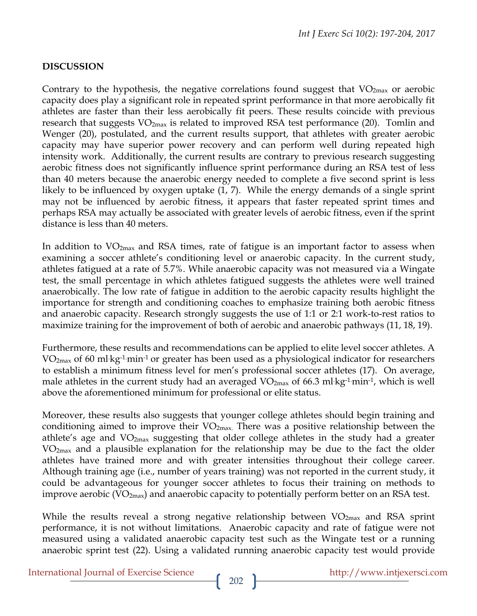# **DISCUSSION**

Contrary to the hypothesis, the negative correlations found suggest that  $VO<sub>2max</sub>$  or aerobic capacity does play a significant role in repeated sprint performance in that more aerobically fit athletes are faster than their less aerobically fit peers. These results coincide with previous research that suggests  $VO_{2max}$  is related to improved RSA test performance (20). Tomlin and Wenger (20), postulated, and the current results support, that athletes with greater aerobic capacity may have superior power recovery and can perform well during repeated high intensity work. Additionally, the current results are contrary to previous research suggesting aerobic fitness does not significantly influence sprint performance during an RSA test of less than 40 meters because the anaerobic energy needed to complete a five second sprint is less likely to be influenced by oxygen uptake (1, 7). While the energy demands of a single sprint may not be influenced by aerobic fitness, it appears that faster repeated sprint times and perhaps RSA may actually be associated with greater levels of aerobic fitness, even if the sprint distance is less than 40 meters.

In addition to  $VO_{2max}$  and RSA times, rate of fatigue is an important factor to assess when examining a soccer athlete's conditioning level or anaerobic capacity. In the current study, athletes fatigued at a rate of 5.7%. While anaerobic capacity was not measured via a Wingate test, the small percentage in which athletes fatigued suggests the athletes were well trained anaerobically. The low rate of fatigue in addition to the aerobic capacity results highlight the importance for strength and conditioning coaches to emphasize training both aerobic fitness and anaerobic capacity. Research strongly suggests the use of 1:1 or 2:1 work-to-rest ratios to maximize training for the improvement of both of aerobic and anaerobic pathways (11, 18, 19).

Furthermore, these results and recommendations can be applied to elite level soccer athletes. A  $VO<sub>2max</sub>$  of 60 ml kg<sup>-1</sup> min<sup>-1</sup> or greater has been used as a physiological indicator for researchers to establish a minimum fitness level for men's professional soccer athletes (17). On average, male athletes in the current study had an averaged  $VO_{2max}$  of 66.3 ml kg<sup>-1</sup> min<sup>-1</sup>, which is well above the aforementioned minimum for professional or elite status.

Moreover, these results also suggests that younger college athletes should begin training and conditioning aimed to improve their VO2max. There was a positive relationship between the athlete's age and  $VO<sub>2max</sub>$  suggesting that older college athletes in the study had a greater VO2max and a plausible explanation for the relationship may be due to the fact the older athletes have trained more and with greater intensities throughout their college career. Although training age (i.e., number of years training) was not reported in the current study, it could be advantageous for younger soccer athletes to focus their training on methods to improve aerobic ( $VO_{2max}$ ) and anaerobic capacity to potentially perform better on an RSA test.

While the results reveal a strong negative relationship between  $VO<sub>2max</sub>$  and RSA sprint performance, it is not without limitations. Anaerobic capacity and rate of fatigue were not measured using a validated anaerobic capacity test such as the Wingate test or a running anaerobic sprint test (22). Using a validated running anaerobic capacity test would provide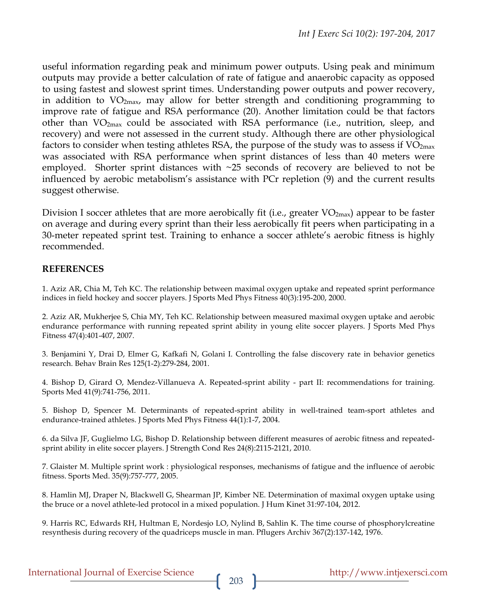useful information regarding peak and minimum power outputs. Using peak and minimum outputs may provide a better calculation of rate of fatigue and anaerobic capacity as opposed to using fastest and slowest sprint times. Understanding power outputs and power recovery, in addition to  $VO_{2max}$ , may allow for better strength and conditioning programming to improve rate of fatigue and RSA performance (20). Another limitation could be that factors other than  $VO<sub>2max</sub>$  could be associated with RSA performance (i.e., nutrition, sleep, and recovery) and were not assessed in the current study. Although there are other physiological factors to consider when testing athletes RSA, the purpose of the study was to assess if  $VO<sub>2max</sub>$ was associated with RSA performance when sprint distances of less than 40 meters were employed. Shorter sprint distances with ~25 seconds of recovery are believed to not be influenced by aerobic metabolism's assistance with PCr repletion (9) and the current results suggest otherwise.

Division I soccer athletes that are more aerobically fit (i.e., greater  $VO_{2max}$ ) appear to be faster on average and during every sprint than their less aerobically fit peers when participating in a 30-meter repeated sprint test. Training to enhance a soccer athlete's aerobic fitness is highly recommended.

#### **REFERENCES**

1. Aziz AR, Chia M, Teh KC. The relationship between maximal oxygen uptake and repeated sprint performance indices in field hockey and soccer players. J Sports Med Phys Fitness 40(3):195-200, 2000.

2. Aziz AR, Mukherjee S, Chia MY, Teh KC. Relationship between measured maximal oxygen uptake and aerobic endurance performance with running repeated sprint ability in young elite soccer players. J Sports Med Phys Fitness 47(4):401-407, 2007.

3. Benjamini Y, Drai D, Elmer G, Kafkafi N, Golani I. Controlling the false discovery rate in behavior genetics research. Behav Brain Res 125(1-2):279-284, 2001.

4. Bishop D, Girard O, Mendez-Villanueva A. Repeated-sprint ability - part II: recommendations for training. Sports Med 41(9):741-756, 2011.

5. Bishop D, Spencer M. Determinants of repeated-sprint ability in well-trained team-sport athletes and endurance-trained athletes. J Sports Med Phys Fitness 44(1):1-7, 2004.

6. da Silva JF, Guglielmo LG, Bishop D. Relationship between different measures of aerobic fitness and repeatedsprint ability in elite soccer players. J Strength Cond Res 24(8):2115-2121, 2010.

7. Glaister M. Multiple sprint work : physiological responses, mechanisms of fatigue and the influence of aerobic fitness. Sports Med. 35(9):757-777, 2005.

8. Hamlin MJ, Draper N, Blackwell G, Shearman JP, Kimber NE. Determination of maximal oxygen uptake using the bruce or a novel athlete-led protocol in a mixed population. J Hum Kinet 31:97-104, 2012.

9. Harris RC, Edwards RH, Hultman E, Nordesjo LO, Nylind B, Sahlin K. The time course of phosphorylcreatine resynthesis during recovery of the quadriceps muscle in man. Pflugers Archiv 367(2):137-142, 1976.